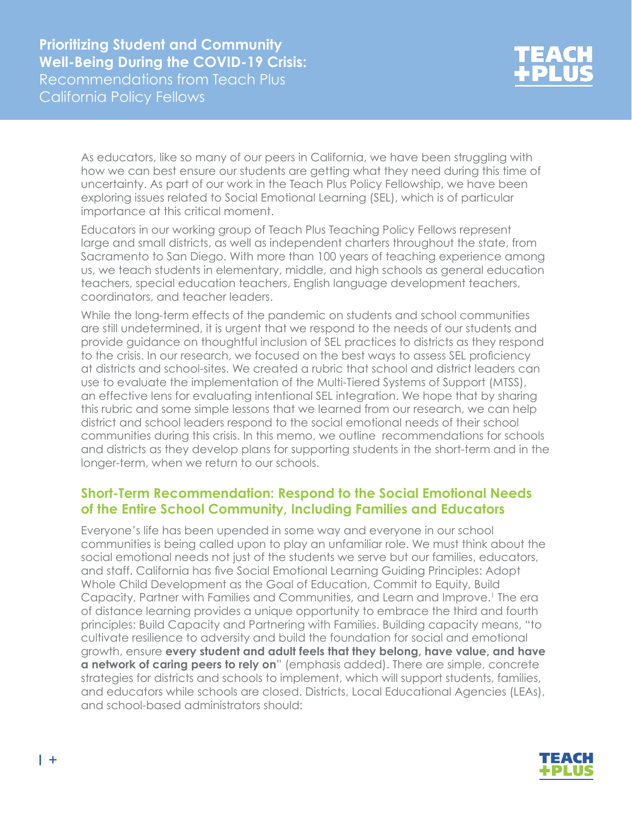

As educators, like so many of our peers in California, we have been struggling with how we can best ensure our students are getting what they need during this time of uncertainty. As part of our work in the Teach Plus Policy Fellowship, we have been exploring issues related to Social Emotional Learning (SEL), which is of particular importance at this critical moment.

Educators in our working group of Teach Plus Teaching Policy Fellows represent large and small districts, as well as independent charters throughout the state, from Sacramento to San Diego. With more than 100 years of teaching experience among us, we teach students in elementary, middle, and high schools as general education teachers, special education teachers, English language development teachers, coordinators, and teacher leaders.

While the long-term effects of the pandemic on students and school communities are still undetermined, it is urgent that we respond to the needs of our students and provide guidance on thoughtful inclusion of SEL practices to districts as they respond to the crisis. In our research, we focused on the best ways to assess SEL proficiency at districts and school-sites. We created a rubric that school and district leaders can use to evaluate the implementation of the Multi-Tiered Systems of Support (MTSS), an effective lens for evaluating intentional SEL integration. We hope that by sharing this rubric and some simple lessons that we learned from our research, we can help district and school leaders respond to the social emotional needs of their school communities during this crisis. In this memo, we outline recommendations for schools and districts as they develop plans for supporting students in the short-term and in the longer-term, when we return to our schools.

#### **Short-Term Recommendation: Respond to the Social Emotional Needs of the Entire School Community, Including Families and Educators**

Everyone's life has been upended in some way and everyone in our school communities is being called upon to play an unfamiliar role. We must think about the social emotional needs not just of the students we serve but our families, educators, and staff. California has five Social Emotional Learning Guiding Principles: Adopt Whole Child Development as the Goal of Education, Commit to Equity, Build Capacity, Partner with Families and Communities, and Learn and Improve.<sup>1</sup> The era of distance learning provides a unique opportunity to embrace the third and fourth principles: Build Capacity and Partnering with Families. Building capacity means, "to cultivate resilience to adversity and build the foundation for social and emotional growth, ensure **every student and adult feels that they belong, have value, and have a network of caring peers to rely on**" (emphasis added). There are simple, concrete strategies for districts and schools to implement, which will support students, families, and educators while schools are closed. Districts, Local Educational Agencies (LEAs), and school-based administrators should:

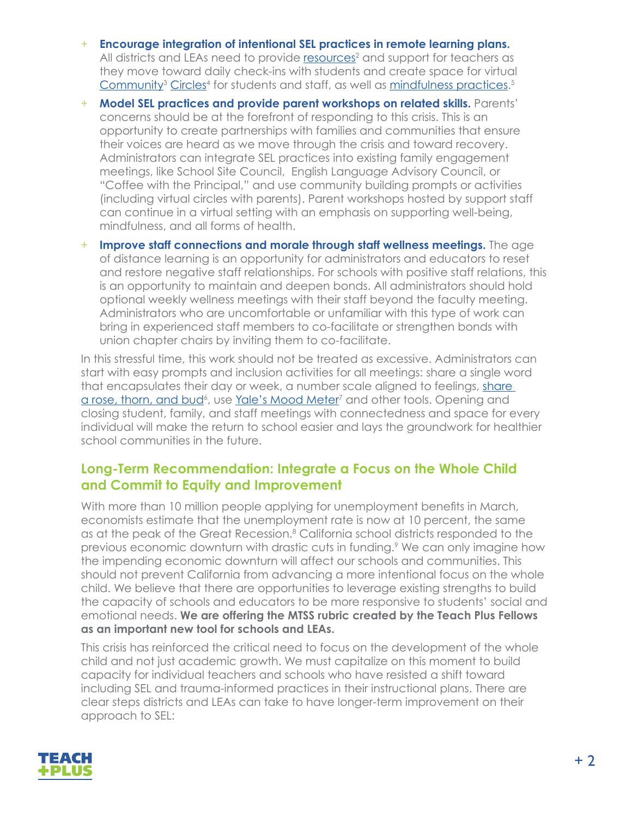- + **Encourage integration of intentional SEL practices in remote learning plans.** All districts and LEAs need to provide resources<sup>2</sup> and support for teachers as they move toward daily check-ins with students and create space for virtual Community<sup>3</sup> [Circles](https://www.responsiveclassroom.org/)<sup>4</sup> for students and staff, as well as <u>[mindfulness practices](https://innerexplorer.org/)</u>.<sup>5</sup>
- + **Model SEL practices and provide parent workshops on related skills.** Parents' concerns should be at the forefront of responding to this crisis. This is an opportunity to create partnerships with families and communities that ensure their voices are heard as we move through the crisis and toward recovery. Administrators can integrate SEL practices into existing family engagement meetings, like School Site Council, English Language Advisory Council, or "Coffee with the Principal," and use community building prompts or activities (including virtual circles with parents). Parent workshops hosted by support staff can continue in a virtual setting with an emphasis on supporting well-being, mindfulness, and all forms of health.
- **Improve staff connections and morale through staff wellness meetings.** The gae of distance learning is an opportunity for administrators and educators to reset and restore negative staff relationships. For schools with positive staff relations, this is an opportunity to maintain and deepen bonds. All administrators should hold optional weekly wellness meetings with their staff beyond the faculty meeting. Administrators who are uncomfortable or unfamiliar with this type of work can bring in experienced staff members to co-facilitate or strengthen bonds with union chapter chairs by inviting them to co-facilitate.

In this stressful time, this work should not be treated as excessive. Administrators can start with easy prompts and inclusion activities for all meetings: share a single word that encapsulates their day or week, a number scale aligned to feelings, share <u>a rose, thorn, and bud</u><sup>6</sup>, use <u>Yale's Mood Meter</u><sup>7</sup> and other tools. Opening and closing student, family, and staff meetings with connectedness and space for every individual will make the return to school easier and lays the groundwork for healthier school communities in the future.

### **Long-Term Recommendation: Integrate a Focus on the Whole Child and Commit to Equity and Improvement**

With more than 10 million people applying for unemployment benefits in March, economists estimate that the unemployment rate is now at 10 percent, the same as at the peak of the Great Recession.<sup>8</sup> California school districts responded to the previous economic downturn with drastic cuts in funding.<sup>9</sup> We can only imagine how the impending economic downturn will affect our schools and communities. This should not prevent California from advancing a more intentional focus on the whole child. We believe that there are opportunities to leverage existing strengths to build the capacity of schools and educators to be more responsive to students' social and emotional needs. **We are offering the MTSS rubric created by the Teach Plus Fellows as an important new tool for schools and LEAs.**

This crisis has reinforced the critical need to focus on the development of the whole child and not just academic growth. We must capitalize on this moment to build capacity for individual teachers and schools who have resisted a shift toward including SEL and trauma-informed practices in their instructional plans. There are clear steps districts and LEAs can take to have longer-term improvement on their approach to SEL:

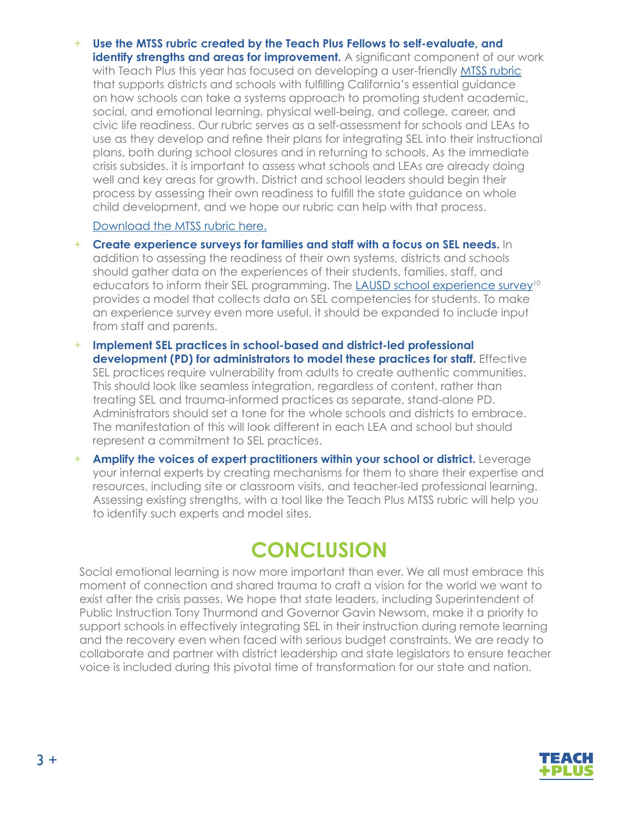+ **Use the MTSS rubric created by the Teach Plus Fellows to self-evaluate, and identify strengths and areas for improvement.** A significant component of our work with Teach Plus this year has focused on developing a user-friendly [MTSS rubric](https://teachplus.org//sites/default/files/downloads/teach_plus_sel-mtss_self_assessment_rubric.pdf) that supports districts and schools with fulfilling California's essential guidance on how schools can take a systems approach to promoting student academic, social, and emotional learning, physical well-being, and college, career, and civic life readiness. Our rubric serves as a self-assessment for schools and LEAs to use as they develop and refine their plans for integrating SEL into their instructional plans, both during school closures and in returning to schools. As the immediate crisis subsides, it is important to assess what schools and LEAs are already doing well and key areas for growth. District and school leaders should begin their process by assessing their own readiness to fulfill the state guidance on whole child development, and we hope our rubric can help with that process.

#### [Download the MTSS rubric here.](https://teachplus.org//sites/default/files/downloads/teach_plus_sel-mtss_self_assessment_rubric.pdf)

- + **Create experience surveys for families and staff with a focus on SEL needs.** In addition to assessing the readiness of their own systems, districts and schools should gather data on the experiences of their students, families, staff, and educators to inform their SEL programming. The LAUSD school experience survey<sup>10</sup> provides a model that collects data on SEL competencies for students. To make an experience survey even more useful, it should be expanded to include input from staff and parents.
- + **Implement SEL practices in school-based and district-led professional development (PD) for administrators to model these practices for staff.** Effective SEL practices require vulnerability from adults to create authentic communities. This should look like seamless integration, regardless of content, rather than treating SEL and trauma-informed practices as separate, stand-alone PD. Administrators should set a tone for the whole schools and districts to embrace. The manifestation of this will look different in each LEA and school but should represent a commitment to SEL practices.
- + **Amplify the voices of expert practitioners within your school or district.** Leverage your internal experts by creating mechanisms for them to share their expertise and resources, including site or classroom visits, and teacher-led professional learning. Assessing existing strengths, with a tool like the Teach Plus MTSS rubric will help you to identify such experts and model sites.

# **CONCLUSION**

Social emotional learning is now more important than ever. We all must embrace this moment of connection and shared trauma to craft a vision for the world we want to exist after the crisis passes. We hope that state leaders, including Superintendent of Public Instruction Tony Thurmond and Governor Gavin Newsom, make it a priority to support schools in effectively integrating SEL in their instruction during remote learning and the recovery even when faced with serious budget constraints. We are ready to collaborate and partner with district leadership and state legislators to ensure teacher voice is included during this pivotal time of transformation for our state and nation.